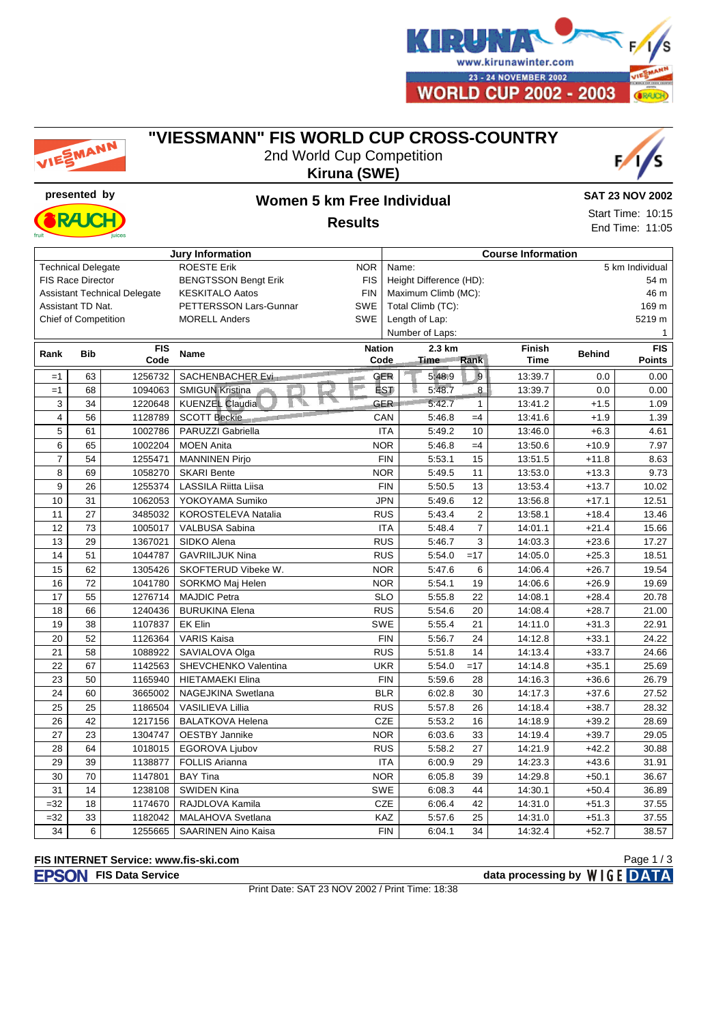

# MANN

### **"VIESSMANN" FIS WORLD CUP CROSS-COUNTRY**





# **presented by Women 5 km Free Individual**

**SAT 23 NOV 2002**

Start Time: 10:15 End Time: 11:05

**Results**

| <b>Jury Information</b>                         |                 |                    |                             |                       | <b>Course Information</b> |                          |                                                     |                              |               |                      |
|-------------------------------------------------|-----------------|--------------------|-----------------------------|-----------------------|---------------------------|--------------------------|-----------------------------------------------------|------------------------------|---------------|----------------------|
| <b>ROESTE Erik</b><br><b>Technical Delegate</b> |                 |                    |                             | <b>NOR</b>            |                           | 5 km Individual<br>Name: |                                                     |                              |               |                      |
| <b>FIS Race Director</b>                        |                 |                    | <b>BENGTSSON Bengt Erik</b> | <b>FIS</b>            | Height Difference (HD):   |                          |                                                     | 54 m                         |               |                      |
| <b>Assistant Technical Delegate</b>             |                 |                    | <b>KESKITALO Aatos</b>      | <b>FIN</b>            | Maximum Climb (MC):       |                          |                                                     |                              | 46 m          |                      |
| Assistant TD Nat.                               |                 |                    | PETTERSSON Lars-Gunnar      | <b>SWE</b>            | Total Climb (TC):         |                          |                                                     |                              | 169 m         |                      |
| <b>Chief of Competition</b>                     |                 |                    | <b>MORELL Anders</b>        | SWE                   | Length of Lap:            |                          |                                                     |                              | 5219 m        |                      |
|                                                 |                 |                    |                             |                       |                           | Number of Laps:          |                                                     |                              |               |                      |
| Rank                                            | <b>Bib</b>      | <b>FIS</b><br>Code | <b>Name</b>                 | <b>Nation</b><br>Code |                           | 2.3 km<br>Time Rank      |                                                     | <b>Finish</b><br><b>Time</b> | <b>Behind</b> | <b>FIS</b><br>Points |
| $=1$                                            | 63              | 1256732            | SACHENBACHER Eximination    |                       | <b>GER</b>                | 5 48 9                   | $\vert \hspace{-.06cm} \circ \hspace{-.08cm} \vert$ | 13:39.7                      | 0.0           | 0.00                 |
| $=1$                                            | 68              | 1094063            | <b>SMIGUN Kristina</b>      |                       | <b>LST</b>                | 5:48.7<br>隰              | 8.                                                  | 13:39.7                      | 0.0           | 0.00                 |
| 3                                               | 34              | 1220648            | KUENZEL Claudia             |                       | <b>GER</b>                | 5:42.7                   | $\mathbf{1}$                                        | 13:41.2                      | $+1.5$        | 1.09                 |
| $\overline{4}$                                  | 56              | 1128789            | SCOTT Beckie                |                       | CAN                       | 5:46.8                   | $=4$                                                | 13:41.6                      | $+1.9$        | 1.39                 |
| 5                                               | 61              | 1002786            | PARUZZI Gabriella           |                       | <b>ITA</b>                | 5:49.2                   | 10                                                  | 13:46.0                      | $+6.3$        | 4.61                 |
| 6                                               | 65              | 1002204            | <b>MOEN Anita</b>           |                       | <b>NOR</b>                | 5:46.8                   | $=4$                                                | 13:50.6                      | $+10.9$       | 7.97                 |
| $\overline{7}$                                  | 54              | 1255471            | <b>MANNINEN Pirjo</b>       |                       | <b>FIN</b>                | 5:53.1                   | 15                                                  | 13:51.5                      | $+11.8$       | 8.63                 |
| 8                                               | 69              | 1058270            | <b>SKARI Bente</b>          | <b>NOR</b>            |                           | 5:49.5                   | 11                                                  | 13:53.0                      | $+13.3$       | 9.73                 |
| 9                                               | 26              | 1255374            | <b>LASSILA Riitta Liisa</b> |                       | <b>FIN</b>                | 5:50.5                   | 13                                                  | 13:53.4                      | $+13.7$       | 10.02                |
| 10                                              | 31              | 1062053            | YOKOYAMA Sumiko             |                       | <b>JPN</b>                | 5:49.6                   | 12                                                  | 13:56.8                      | $+17.1$       | 12.51                |
| 11                                              | 27              | 3485032            | KOROSTELEVA Natalia         |                       | <b>RUS</b>                | 5:43.4                   | $\overline{2}$                                      | 13:58.1                      | $+18.4$       | 13.46                |
| 12                                              | 73              | 1005017            | VALBUSA Sabina              |                       | <b>ITA</b>                | 5:48.4                   | $\overline{7}$                                      | 14:01.1                      | $+21.4$       | 15.66                |
| 13                                              | 29              | 1367021            | SIDKO Alena                 |                       | <b>RUS</b>                | 5:46.7                   | 3                                                   | 14:03.3                      | $+23.6$       | 17.27                |
| 14                                              | 51              | 1044787            | <b>GAVRIILJUK Nina</b>      |                       | <b>RUS</b>                | 5:54.0                   | $=17$                                               | 14:05.0                      | $+25.3$       | 18.51                |
| 15                                              | 62              | 1305426            | SKOFTERUD Vibeke W.         | <b>NOR</b>            |                           | 5:47.6                   | 6                                                   | 14:06.4                      | $+26.7$       | 19.54                |
| 16                                              | 72              | 1041780            | SORKMO Maj Helen            | <b>NOR</b>            |                           | 5:54.1                   | 19                                                  | 14:06.6                      | $+26.9$       | 19.69                |
| 17                                              | 55              | 1276714            | <b>MAJDIC Petra</b>         |                       | <b>SLO</b>                | 5:55.8                   | 22                                                  | 14:08.1                      | $+28.4$       | 20.78                |
| 18                                              | 66              | 1240436            | <b>BURUKINA Elena</b>       |                       | <b>RUS</b>                | 5:54.6                   | 20                                                  | 14:08.4                      | $+28.7$       | 21.00                |
| 19                                              | 38              | 1107837            | <b>EK Elin</b>              | <b>SWE</b>            |                           | 5:55.4                   | 21                                                  | 14:11.0                      | $+31.3$       | 22.91                |
| 20                                              | 52              | 1126364            | <b>VARIS Kaisa</b>          |                       | <b>FIN</b>                | 5:56.7                   | 24                                                  | 14:12.8                      | $+33.1$       | 24.22                |
| 21                                              | 58              | 1088922            | SAVIALOVA Olga              |                       | <b>RUS</b>                | 5:51.8                   | 14                                                  | 14:13.4                      | $+33.7$       | 24.66                |
| 22                                              | 67              | 1142563            | SHEVCHENKO Valentina        |                       | <b>UKR</b>                | 5:54.0                   | $=17$                                               | 14:14.8                      | $+35.1$       | 25.69                |
| 23                                              | 50              | 1165940            | <b>HIETAMAEKI Elina</b>     |                       | <b>FIN</b>                | 5:59.6                   | 28                                                  | 14:16.3                      | $+36.6$       | 26.79                |
| 24                                              | 60              | 3665002            | NAGEJKINA Swetlana          |                       | <b>BLR</b>                | 6:02.8                   | 30                                                  | 14:17.3                      | $+37.6$       | 27.52                |
| 25                                              | 25              | 1186504            | <b>VASILIEVA Lillia</b>     |                       | <b>RUS</b>                | 5:57.8                   | 26                                                  | 14:18.4                      | $+38.7$       | 28.32                |
| 26                                              | 42              | 1217156            | <b>BALATKOVA Helena</b>     |                       | <b>CZE</b>                | 5:53.2                   | 16                                                  | 14:18.9                      | $+39.2$       | 28.69                |
| $\overline{27}$                                 | $\overline{23}$ | 1304747            | <b>OESTBY Jannike</b>       | <b>NOR</b>            |                           | 6:03.6                   | 33                                                  | 14:19.4                      | $+39.7$       | 29.05                |
| 28                                              | 64              | 1018015            | <b>EGOROVA Ljubov</b>       |                       | <b>RUS</b>                | 5:58.2                   | 27                                                  | 14:21.9                      | $+42.2$       | 30.88                |
| 29                                              | 39              | 1138877            | <b>FOLLIS Arianna</b>       |                       | <b>ITA</b>                | 6:00.9                   | 29                                                  | 14:23.3                      | $+43.6$       | 31.91                |
| 30                                              | 70              | 1147801            | <b>BAY Tina</b>             |                       | <b>NOR</b>                | 6:05.8                   | 39                                                  | 14:29.8                      | $+50.1$       | 36.67                |
| 31                                              | 14              | 1238108            | <b>SWIDEN Kina</b>          |                       | <b>SWE</b>                | 6:08.3                   | 44                                                  | 14:30.1                      | $+50.4$       | 36.89                |
| $=32$                                           | 18              | 1174670            | RAJDLOVA Kamila             |                       | CZE                       | 6:06.4                   | 42                                                  | 14:31.0                      | $+51.3$       | 37.55                |
| $=32$                                           | 33              | 1182042            | MALAHOVA Svetlana           |                       | KAZ                       | 5:57.6                   | 25                                                  | 14:31.0                      | $+51.3$       | 37.55                |
| 34                                              | 6               | 1255665            | <b>SAARINEN Aino Kaisa</b>  |                       | <b>FIN</b>                | 6:04.1                   | 34                                                  | 14:32.4                      | $+52.7$       | 38.57                |

#### **FIS INTERNET Service: www.fis-ski.com**

Page 1 / 3

**FIS Data Service data processing by**  $W \mid G E$  **DATA** 

Print Date: SAT 23 NOV 2002 / Print Time: 18:38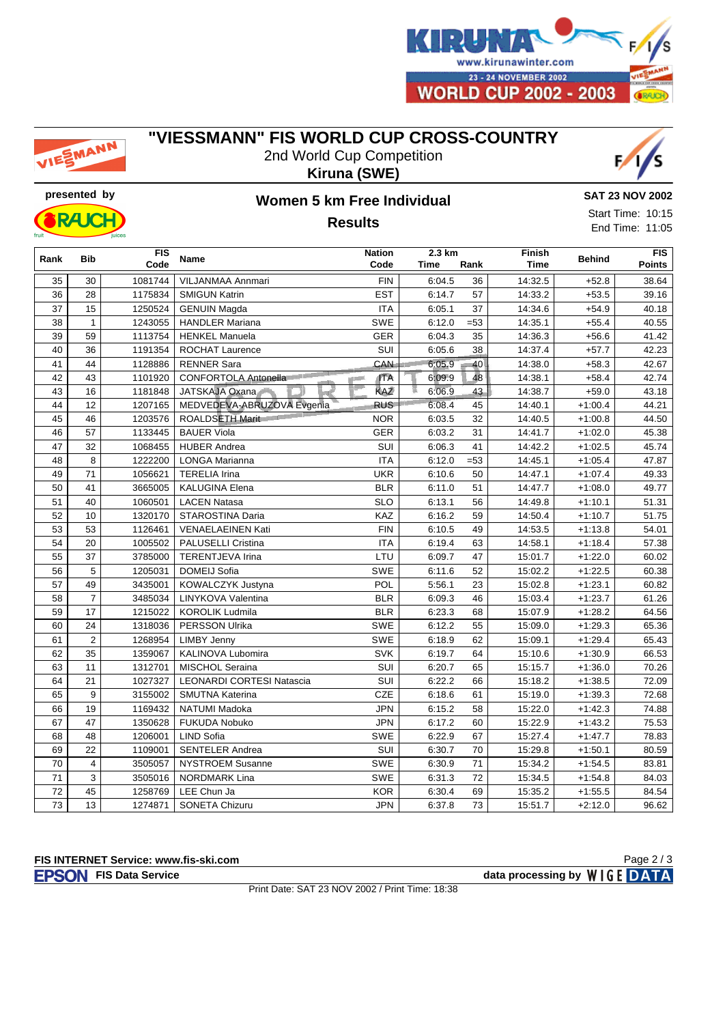

# EMANN

## **"VIESSMANN" FIS WORLD CUP CROSS-COUNTRY**

2nd World Cup Competition **Kiruna (SWE)**





## **presented by Women 5 km Free Individual Results**

**SAT 23 NOV 2002**

Start Time: 10:15 End Time: 11:05

| Rank            | <b>Bib</b>      | <b>FIS</b><br>Code | <b>Name</b>                              | <b>Nation</b><br>Code | 2.3 km<br>Time | Rank   | Finish<br>Time | <b>Behind</b> | FIS<br>Points |
|-----------------|-----------------|--------------------|------------------------------------------|-----------------------|----------------|--------|----------------|---------------|---------------|
| 35              | 30              | 1081744            | VILJANMAA Annmari                        | <b>FIN</b>            | 6:04.5         | 36     | 14:32.5        | $+52.8$       | 38.64         |
| 36              | 28              | 1175834            | <b>SMIGUN Katrin</b>                     | <b>EST</b>            | 6:14.7         | 57     | 14:33.2        | $+53.5$       | 39.16         |
| 37              | 15              | 1250524            | <b>GENUIN Magda</b>                      | <b>ITA</b>            | 6:05.1         | 37     | 14:34.6        | $+54.9$       | 40.18         |
| 38              | $\mathbf{1}$    | 1243055            | <b>HANDLER Mariana</b>                   | SWE                   | 6:12.0         | $= 53$ | 14:35.1        | $+55.4$       | 40.55         |
| 39              | 59              | 1113754            | <b>HENKEL Manuela</b>                    | <b>GER</b>            | 6:04.3         | 35     | 14:36.3        | $+56.6$       | 41.42         |
| 40              | 36              | 1191354            | <b>ROCHAT Laurence</b>                   | SUI                   | 6:05.6         | 38     | 14:37.4        | $+57.7$       | 42.23         |
| 41              | 44              | 1128886            | <b>RENNER Sara</b>                       | <b>CAN</b>            | 6.05.9         | 40     | 14:38.0        | $+58.3$       | 42.67         |
| 42              | 43              | 1101920            | <b>CONFORTOLA Antonella</b> <sup>®</sup> | <b>ITA</b>            | 6.09.9         | 48     | 14:38.1        | $+58.4$       | 42.74         |
| 43              | 16              | 1181848            | JATSKAJA Oxana                           | KAZ                   | m<br>6:06.9    | 43     | 14:38.7        | $+59.0$       | 43.18         |
| 44              | 12              | 1207165            | MEDVEDEVA-ABRUZOVA Evgenia               | <b>RUS</b>            | 6:08.4         | 45     | 14:40.1        | $+1:00.4$     | 44.21         |
| 45              | 46              | 1203576            | ROALDSETH Marit                          | <b>NOR</b>            | 6:03.5         | 32     | 14:40.5        | $+1:00.8$     | 44.50         |
| 46              | $\overline{57}$ | 1133445            | <b>BAUER Viola</b>                       | GER                   | 6:03.2         | 31     | 14:41.7        | $+1:02.0$     | 45.38         |
| 47              | 32              | 1068455            | <b>HUBER Andrea</b>                      | SUI                   | 6:06.3         | 41     | 14:42.2        | $+1:02.5$     | 45.74         |
| 48              | 8               | 1222200            | LONGA Marianna                           | <b>ITA</b>            | 6:12.0         | $= 53$ | 14:45.1        | $+1:05.4$     | 47.87         |
| 49              | 71              | 1056621            | <b>TERELIA Irina</b>                     | <b>UKR</b>            | 6:10.6         | 50     | 14:47.1        | $+1:07.4$     | 49.33         |
| 50              | 41              | 3665005            | <b>KALUGINA Elena</b>                    | <b>BLR</b>            | 6:11.0         | 51     | 14:47.7        | $+1:08.0$     | 49.77         |
| 51              | 40              | 1060501            | <b>LACEN Natasa</b>                      | <b>SLO</b>            | 6:13.1         | 56     | 14:49.8        | $+1:10.1$     | 51.31         |
| 52              | 10              | 1320170            | STAROSTINA Daria                         | KAZ                   | 6:16.2         | 59     | 14:50.4        | $+1:10.7$     | 51.75         |
| 53              | 53              | 1126461            | <b>VENAELAEINEN Kati</b>                 | <b>FIN</b>            | 6:10.5         | 49     | 14:53.5        | $+1:13.8$     | 54.01         |
| 54              | 20              | 1005502            | <b>PALUSELLI Cristina</b>                | <b>ITA</b>            | 6:19.4         | 63     | 14:58.1        | $+1:18.4$     | 57.38         |
| 55              | 37              | 3785000            | TERENTJEVA Irina                         | LTU                   | 6:09.7         | 47     | 15:01.7        | $+1:22.0$     | 60.02         |
| 56              | 5               | 1205031            | DOMEIJ Sofia                             | SWE                   | 6:11.6         | 52     | 15:02.2        | $+1:22.5$     | 60.38         |
| 57              | 49              | 3435001            | KOWALCZYK Justyna                        | POL                   | 5:56.1         | 23     | 15:02.8        | $+1:23.1$     | 60.82         |
| 58              | $\overline{7}$  | 3485034            | LINYKOVA Valentina                       | <b>BLR</b>            | 6:09.3         | 46     | 15:03.4        | $+1:23.7$     | 61.26         |
| 59              | 17              | 1215022            | <b>KOROLIK Ludmila</b>                   | <b>BLR</b>            | 6:23.3         | 68     | 15:07.9        | $+1:28.2$     | 64.56         |
| 60              | 24              | 1318036            | PERSSON Ulrika                           | SWE                   | 6:12.2         | 55     | 15:09.0        | $+1:29.3$     | 65.36         |
| 61              | $\overline{2}$  | 1268954            | <b>LIMBY Jenny</b>                       | <b>SWE</b>            | 6:18.9         | 62     | 15:09.1        | $+1:29.4$     | 65.43         |
| 62              | 35              | 1359067            | KALINOVA Lubomira                        | SVK                   | 6:19.7         | 64     | 15:10.6        | $+1:30.9$     | 66.53         |
| 63              | 11              | 1312701            | MISCHOL Seraina                          | SUI                   | 6:20.7         | 65     | 15:15.7        | $+1:36.0$     | 70.26         |
| 64              | 21              | 1027327            | <b>LEONARDI CORTESI Natascia</b>         | SUI                   | 6:22.2         | 66     | 15:18.2        | $+1:38.5$     | 72.09         |
| 65              | 9               | 3155002            | SMUTNA Katerina                          | CZE                   | 6:18.6         | 61     | 15:19.0        | $+1:39.3$     | 72.68         |
| 66              | 19              | 1169432            | NATUMI Madoka                            | <b>JPN</b>            | 6:15.2         | 58     | 15:22.0        | $+1:42.3$     | 74.88         |
| 67              | 47              | 1350628            | FUKUDA Nobuko                            | <b>JPN</b>            | 6:17.2         | 60     | 15:22.9        | $+1:43.2$     | 75.53         |
| 68              | 48              | 1206001            | <b>LIND Sofia</b>                        | <b>SWE</b>            | 6:22.9         | 67     | 15:27.4        | $+1:47.7$     | 78.83         |
| 69              | 22              | 1109001            | <b>SENTELER Andrea</b>                   | SUI                   | 6:30.7         | 70     | 15:29.8        | $+1:50.1$     | 80.59         |
| 70              | 4               | 3505057            | <b>NYSTROEM Susanne</b>                  | SWE                   | 6:30.9         | 71     | 15:34.2        | $+1:54.5$     | 83.81         |
| $71$            | 3               | 3505016            | <b>NORDMARK Lina</b>                     | SWE                   | 6:31.3         | 72     | 15:34.5        | $+1:54.8$     | 84.03         |
| 72              | 45              | 1258769            | LEE Chun Ja                              | <b>KOR</b>            | 6:30.4         | 69     | 15:35.2        | $+1:55.5$     | 84.54         |
| $\overline{73}$ | 13              | 1274871            | <b>SONETA Chizuru</b>                    | <b>JPN</b>            | 6:37.8         | 73     | 15:51.7        | $+2:12.0$     | 96.62         |

#### **FIS INTERNET Service: www.fis-ski.com**

Page 2 / 3

**FIS Data Service data processing by**  $W \mid G E$  **DATA** 

Print Date: SAT 23 NOV 2002 / Print Time: 18:38